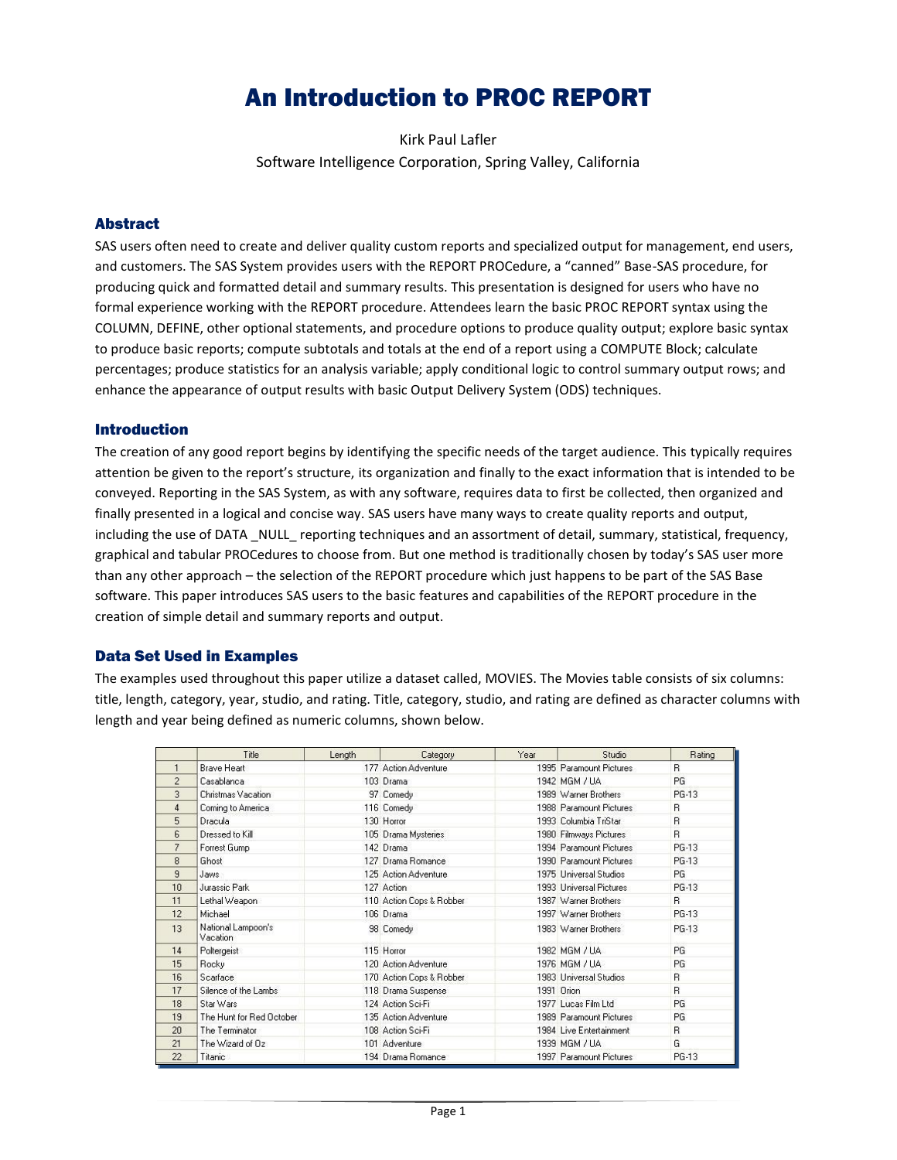# An Introduction to PROC REPORT

Kirk Paul Lafler Software Intelligence Corporation, Spring Valley, California

# Abstract

SAS users often need to create and deliver quality custom reports and specialized output for management, end users, and customers. The SAS System provides users with the REPORT PROCedure, a "canned" Base-SAS procedure, for producing quick and formatted detail and summary results. This presentation is designed for users who have no formal experience working with the REPORT procedure. Attendees learn the basic PROC REPORT syntax using the COLUMN, DEFINE, other optional statements, and procedure options to produce quality output; explore basic syntax to produce basic reports; compute subtotals and totals at the end of a report using a COMPUTE Block; calculate percentages; produce statistics for an analysis variable; apply conditional logic to control summary output rows; and enhance the appearance of output results with basic Output Delivery System (ODS) techniques.

# **Introduction**

The creation of any good report begins by identifying the specific needs of the target audience. This typically requires attention be given to the report's structure, its organization and finally to the exact information that is intended to be conveyed. Reporting in the SAS System, as with any software, requires data to first be collected, then organized and finally presented in a logical and concise way. SAS users have many ways to create quality reports and output, including the use of DATA NULL reporting techniques and an assortment of detail, summary, statistical, frequency, graphical and tabular PROCedures to choose from. But one method is traditionally chosen by today's SAS user more than any other approach – the selection of the REPORT procedure which just happens to be part of the SAS Base software. This paper introduces SAS users to the basic features and capabilities of the REPORT procedure in the creation of simple detail and summary reports and output.

# Data Set Used in Examples

The examples used throughout this paper utilize a dataset called, MOVIES. The Movies table consists of six columns: title, length, category, year, studio, and rating. Title, category, studio, and rating are defined as character columns with length and year being defined as numeric columns, shown below.

|                | Title                          | Length | Category                 | Year | Studio                  | Rating    |
|----------------|--------------------------------|--------|--------------------------|------|-------------------------|-----------|
| $\mathbf{1}$   | Brave Heart                    |        | 177 Action Adventure     |      | 1995 Paramount Pictures | B.        |
| $\overline{2}$ | Casablanca                     |        | 103 Drama                |      | 1942 MGM / UA           | <b>PG</b> |
| 3              | Christmas Vacation             |        | 97 Comedy                |      | 1989 Warner Brothers    | PG-13     |
| $\overline{4}$ | Coming to America              |        | 116 Comedy               |      | 1988 Paramount Pictures | B.        |
| 5              | Dracula                        |        | 130 Horror               |      | 1993 Columbia TriStar   | B.        |
| 6              | Dressed to Kill                |        | 105 Drama Mysteries      |      | 1980 Filmways Pictures  | B.        |
| $\overline{7}$ | Forrest Gump                   |        | 142 Drama                |      | 1994 Paramount Pictures | PG-13     |
| 8              | Ghost                          |        | 127 Drama Romance        |      | 1990 Paramount Pictures | PG-13     |
| 9              | Jaws.                          |        | 125 Action Adventure     |      | 1975 Universal Studios  | PG.       |
| 10             | Jurassic Park                  |        | 127 Action               |      | 1993 Universal Pictures | PG-13     |
| 11             | Lethal Weapon                  |        | 110 Action Cops & Robber |      | 1987 Warner Brothers    | B.        |
| 12             | Michael                        |        | 106 Drama                |      | 1997 Warner Brothers    | PG-13     |
| 13             | National Lampoon's<br>Vacation |        | 98 Comedy                |      | 1983 Warner Brothers    | PG-13     |
| 14             | Poltergeist                    |        | 115 Horror               |      | 1982 MGM / UA           | PG        |
| 15             | Rocky                          |        | 120 Action Adventure     |      | 1976 MGM / UA           | PG        |
| 16             | Scarface                       |        | 170 Action Cops & Robber |      | 1983 Universal Studios  | B.        |
| 17             | Silence of the Lambs           |        | 118 Drama Suspense       |      | 1991 Drion              | B.        |
| 18             | Star Wars                      |        | 124 Action Sci-Fi        |      | 1977 Lucas Film Ltd.    | PG        |
| 19             | The Hunt for Red October       |        | 135 Action Adventure     |      | 1989 Paramount Pictures | PG        |
| 20             | The Terminator                 |        | 108 Action Sci-Fi        |      | 1984 Live Entertainment | R.        |
| 21             | The Wizard of Oz               |        | 101 Adventure            |      | 1939 MGM / UA           | G         |
| 22             | Titanic                        |        | 194 Drama Romance        |      | 1997 Paramount Pictures | PG-13     |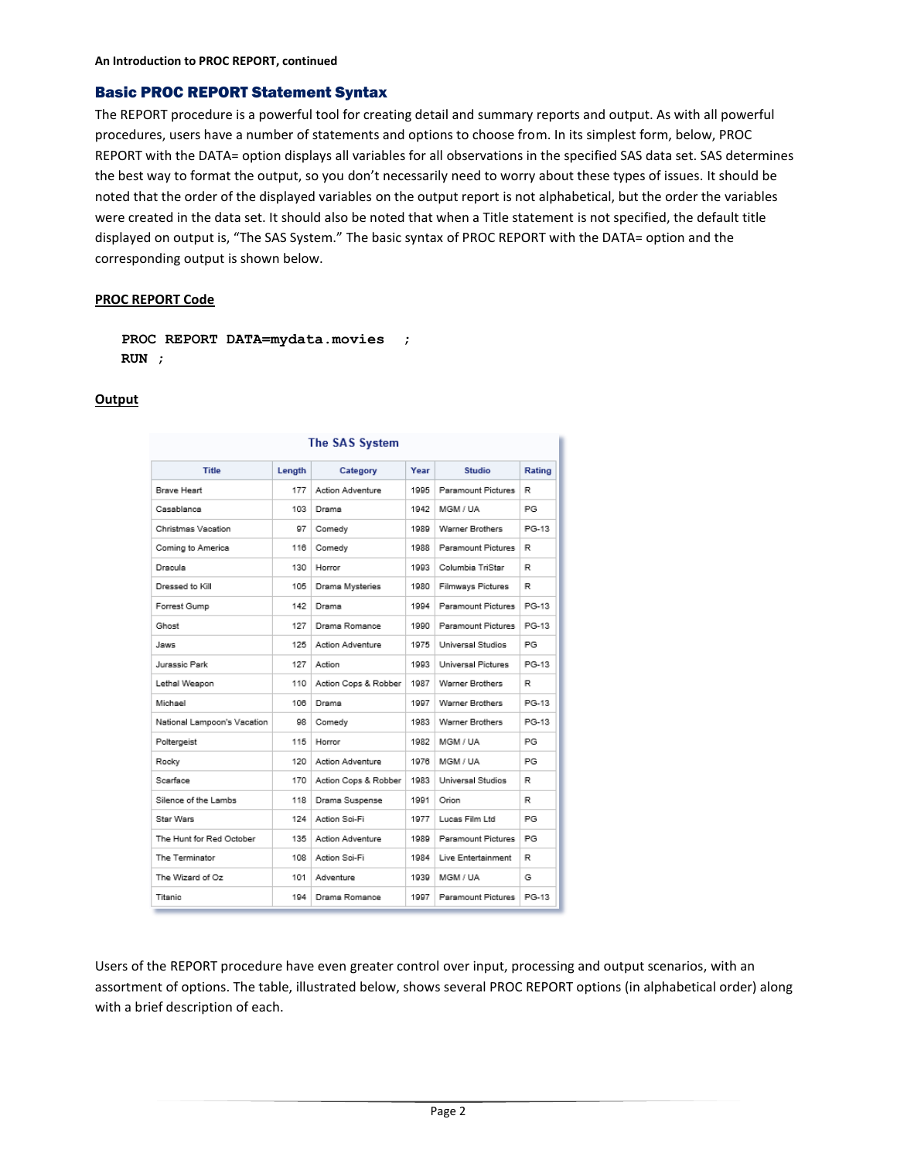# Basic PROC REPORT Statement Syntax

The REPORT procedure is a powerful tool for creating detail and summary reports and output. As with all powerful procedures, users have a number of statements and options to choose from. In its simplest form, below, PROC REPORT with the DATA= option displays all variables for all observations in the specified SAS data set. SAS determines the best way to format the output, so you don't necessarily need to worry about these types of issues. It should be noted that the order of the displayed variables on the output report is not alphabetical, but the order the variables were created in the data set. It should also be noted that when a Title statement is not specified, the default title displayed on output is, "The SAS System." The basic syntax of PROC REPORT with the DATA= option and the corresponding output is shown below.

#### **PROC REPORT Code**

```
PROC REPORT DATA=mydata.movies ;
RUN ;
```
# **Output**

| The SAS System              |        |                         |      |                        |        |  |  |
|-----------------------------|--------|-------------------------|------|------------------------|--------|--|--|
| <b>Title</b>                | Length | Category                | Year | <b>Studio</b>          | Rating |  |  |
| Brave Heart                 | 177    | <b>Action Adventure</b> | 1995 | Paramount Pictures     | R      |  |  |
| Casablanca                  | 103    | Drama                   | 1942 | MGM / UA               | PG     |  |  |
| Christmas Vacation          | 97     | Comedy                  | 1989 | Warner Brothers        | PG-13  |  |  |
| Coming to America           | 116    | Comedy                  | 1988 | Paramount Pictures     | R      |  |  |
| Dracula                     | 130    | Horror                  | 1993 | Columbia TriStar       | R      |  |  |
| Dressed to Kill             | 105    | Drama Mysteries         | 1980 | Filmways Pictures      | R      |  |  |
| Forrest Gump                | 142    | Drama                   | 1994 | Paramount Pictures     | PG-13  |  |  |
| Ghost                       | 127    | Drama Romance           | 1990 | Paramount Pictures     | PG-13  |  |  |
| <b>Zwel</b>                 | 125    | <b>Action Adventure</b> | 1975 | Universal Studios      | PG     |  |  |
| Jurassic Park               | 127    | Action                  | 1993 | Universal Pictures     | PG-13  |  |  |
| Lethal Weapon               | 110    | Action Cops & Robber    | 1987 | Warner Brothers        | R      |  |  |
| Michael                     | 108    | Drama                   | 1997 | <b>Warner Brothers</b> | PG-13  |  |  |
| National Lampoon's Vacation | 98     | Comedy                  | 1983 | Warner Brothers        | PG-13  |  |  |
| Poltergeist                 | 115    | Horror                  | 1982 | MGM / UA               | PG.    |  |  |
| Rocky                       | 120    | <b>Action Adventure</b> | 1976 | MGM / UA               | PG     |  |  |
| Scarface                    | 170    | Action Cops & Robber    | 1983 | Universal Studios      | R      |  |  |
| Silence of the Lambs        | 118    | Drama Suspense          | 1991 | Orion                  | R      |  |  |
| Star Wars                   | 124    | Action Sci-Fi           | 1977 | Lucas Film Ltd         | PG     |  |  |
| The Hunt for Red October    | 135    | Action Adventure        | 1989 | Paramount Pictures     | PG     |  |  |
| The Terminator              | 108    | Action Sci-Fi           | 1984 | Live Entertainment     | R      |  |  |
| The Wizard of Oz            | 101    | Adventure               | 1939 | MGM / UA               | G      |  |  |
| Titanic                     | 194    | Drama Romance           | 1997 | Paramount Pictures     | PG-13  |  |  |

Users of the REPORT procedure have even greater control over input, processing and output scenarios, with an assortment of options. The table, illustrated below, shows several PROC REPORT options (in alphabetical order) along with a brief description of each.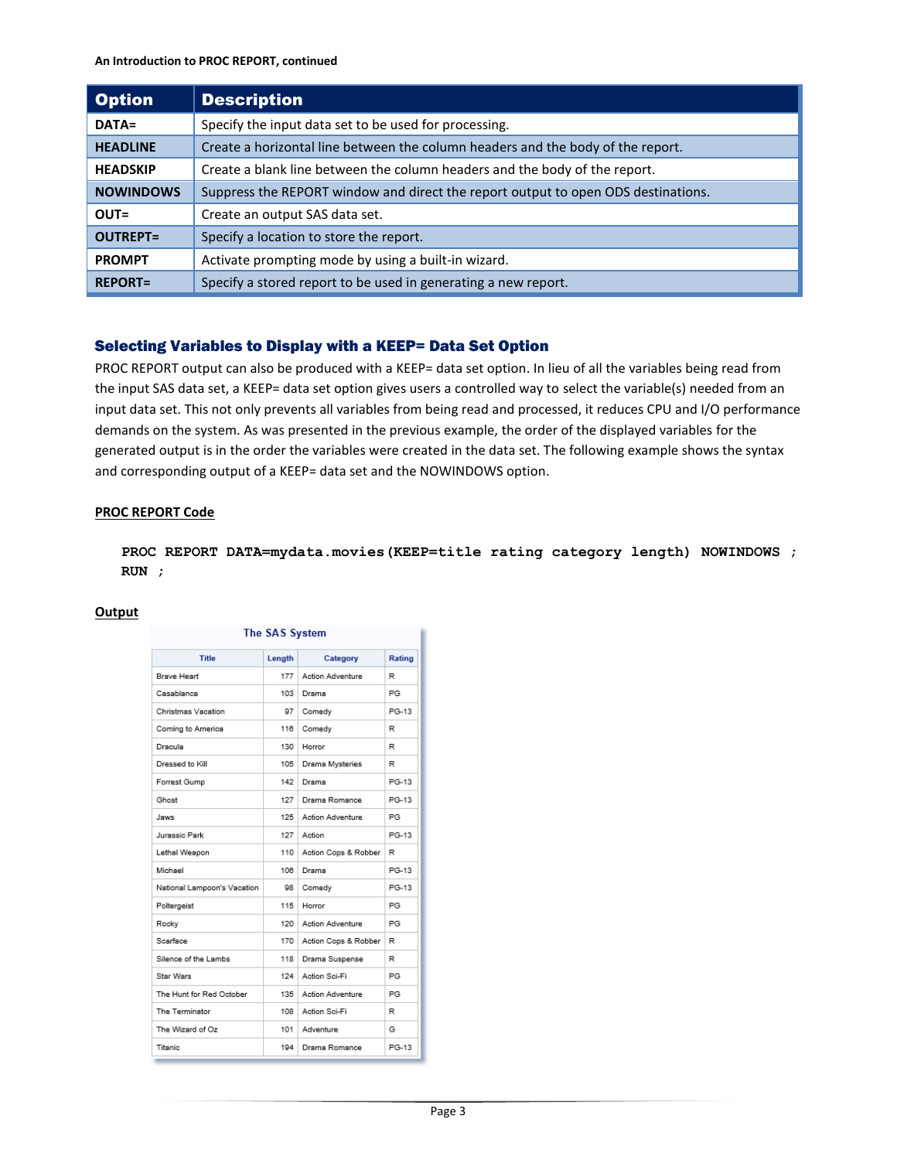| <b>Option</b>    | <b>Description</b>                                                                |  |
|------------------|-----------------------------------------------------------------------------------|--|
| DATA=            | Specify the input data set to be used for processing.                             |  |
| <b>HEADLINE</b>  | Create a horizontal line between the column headers and the body of the report.   |  |
| <b>HEADSKIP</b>  | Create a blank line between the column headers and the body of the report.        |  |
| <b>NOWINDOWS</b> | Suppress the REPORT window and direct the report output to open ODS destinations. |  |
| $OUT =$          | Create an output SAS data set.                                                    |  |
| <b>OUTREPT=</b>  | Specify a location to store the report.                                           |  |
| <b>PROMPT</b>    | Activate prompting mode by using a built-in wizard.                               |  |
| <b>REPORT=</b>   | Specify a stored report to be used in generating a new report.                    |  |

# Selecting Variables to Display with a KEEP= Data Set Option

PROC REPORT output can also be produced with a KEEP= data set option. In lieu of all the variables being read from the input SAS data set, a KEEP= data set option gives users a controlled way to select the variable(s) needed from an input data set. This not only prevents all variables from being read and processed, it reduces CPU and I/O performance demands on the system. As was presented in the previous example, the order of the displayed variables for the generated output is in the order the variables were created in the data set. The following example shows the syntax and corresponding output of a KEEP= data set and the NOWINDOWS option.

#### **PROC REPORT Code**

**PROC REPORT DATA=mydata.movies(KEEP=title rating category length) NOWINDOWS ; RUN ;**

| The SAS System              |        |                      |        |  |  |  |  |
|-----------------------------|--------|----------------------|--------|--|--|--|--|
| <b>Title</b>                | Length | Category             | Rating |  |  |  |  |
| <b>Brave Heart</b>          | 177    | Action Adventure     | R      |  |  |  |  |
| Casablanca                  | 103    | Drama                | PG     |  |  |  |  |
| Christmas Vacation          | 97     | Comedy               | PG-13  |  |  |  |  |
| Coming to America           | 116    | Comedy               | R      |  |  |  |  |
| Dracula                     | 130    | Horror               | R      |  |  |  |  |
| Dressed to Kill             | 105    | Drama Mysteries      | R      |  |  |  |  |
| Forrest Gump                | 142    | Drama                | PG-13  |  |  |  |  |
| Ghost                       | 127    | Drama Romance        | PG-13  |  |  |  |  |
| aws.                        | 125    | Action Adventure     | PG     |  |  |  |  |
| Jurassic Park               | 127    | Action               | PG-13  |  |  |  |  |
| Lethal Weapon               | 110    | Action Cops & Robber | R      |  |  |  |  |
| Michael                     | 106    | Drama                | PG-13  |  |  |  |  |
| National Lampoon's Vacation | 98     | Comedy               | PG-13  |  |  |  |  |
| Poltergeist                 | 115    | Horror               | PG     |  |  |  |  |
| Rocky                       | 120    | Action Adventure     | PG     |  |  |  |  |
| Scarface                    | 170    | Action Cops & Robber | R      |  |  |  |  |
| Silence of the Lambs        | 118    | Drama Suspense       | R      |  |  |  |  |
| Star Wars                   | 124    | Action Sci-Fi        | PG     |  |  |  |  |
| The Hunt for Red October    | 135    | Action Adventure     | PG     |  |  |  |  |
| The Terminator              | 108    | Action Sci-Fi        | R      |  |  |  |  |
| The Wizard of Oz            | 101    | Adventure            | G      |  |  |  |  |
| Titanic                     | 194    | Drama Romance        | PG-13  |  |  |  |  |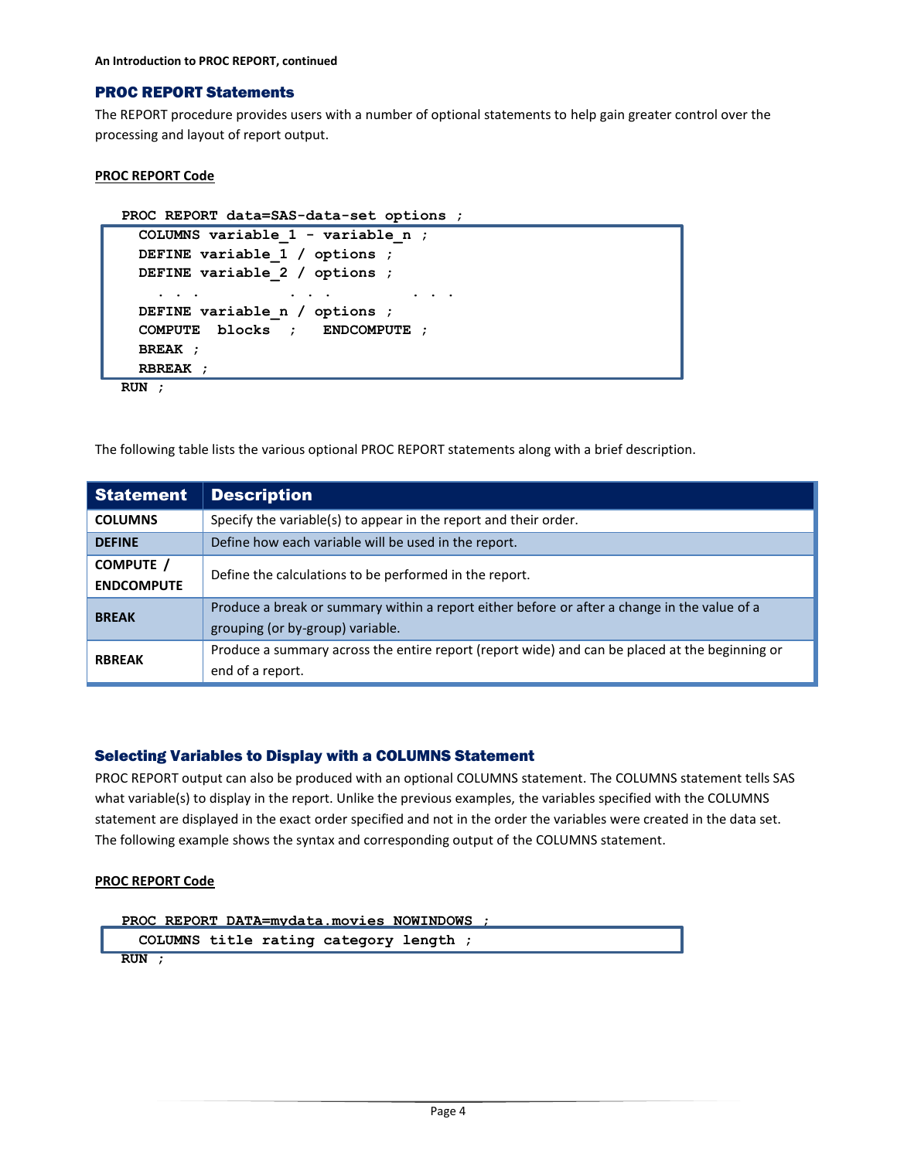**An Introduction to PROC REPORT, continued** 

# PROC REPORT Statements

The REPORT procedure provides users with a number of optional statements to help gain greater control over the processing and layout of report output.

# **PROC REPORT Code**

```
PROC REPORT data=SAS-data-set options ;
```

```
COLUMNS variable_1 - variable_n ;
DEFINE variable_1 / options ;
 DEFINE variable_2 / options ;
   . . . . . . . . .
DEFINE variable_n / options ;
COMPUTE blocks ; ENDCOMPUTE ; 
BREAK ;
 RBREAK ;
```
**RUN ;**

The following table lists the various optional PROC REPORT statements along with a brief description.

| <b>Statement</b>                                                                   | <b>Description</b>                                                                                                               |  |  |
|------------------------------------------------------------------------------------|----------------------------------------------------------------------------------------------------------------------------------|--|--|
| Specify the variable(s) to appear in the report and their order.<br><b>COLUMNS</b> |                                                                                                                                  |  |  |
| Define how each variable will be used in the report.<br><b>DEFINE</b>              |                                                                                                                                  |  |  |
| COMPUTE /<br><b>ENDCOMPUTE</b>                                                     | Define the calculations to be performed in the report.                                                                           |  |  |
| <b>BREAK</b>                                                                       | Produce a break or summary within a report either before or after a change in the value of a<br>grouping (or by-group) variable. |  |  |
| <b>RBREAK</b>                                                                      | Produce a summary across the entire report (report wide) and can be placed at the beginning or<br>end of a report.               |  |  |

# Selecting Variables to Display with a COLUMNS Statement

PROC REPORT output can also be produced with an optional COLUMNS statement. The COLUMNS statement tells SAS what variable(s) to display in the report. Unlike the previous examples, the variables specified with the COLUMNS statement are displayed in the exact order specified and not in the order the variables were created in the data set. The following example shows the syntax and corresponding output of the COLUMNS statement.

# **PROC REPORT Code**

```
PROC REPORT DATA=mydata.movies NOWINDOWS ;
   COLUMNS title rating category length ;
RUN ;
```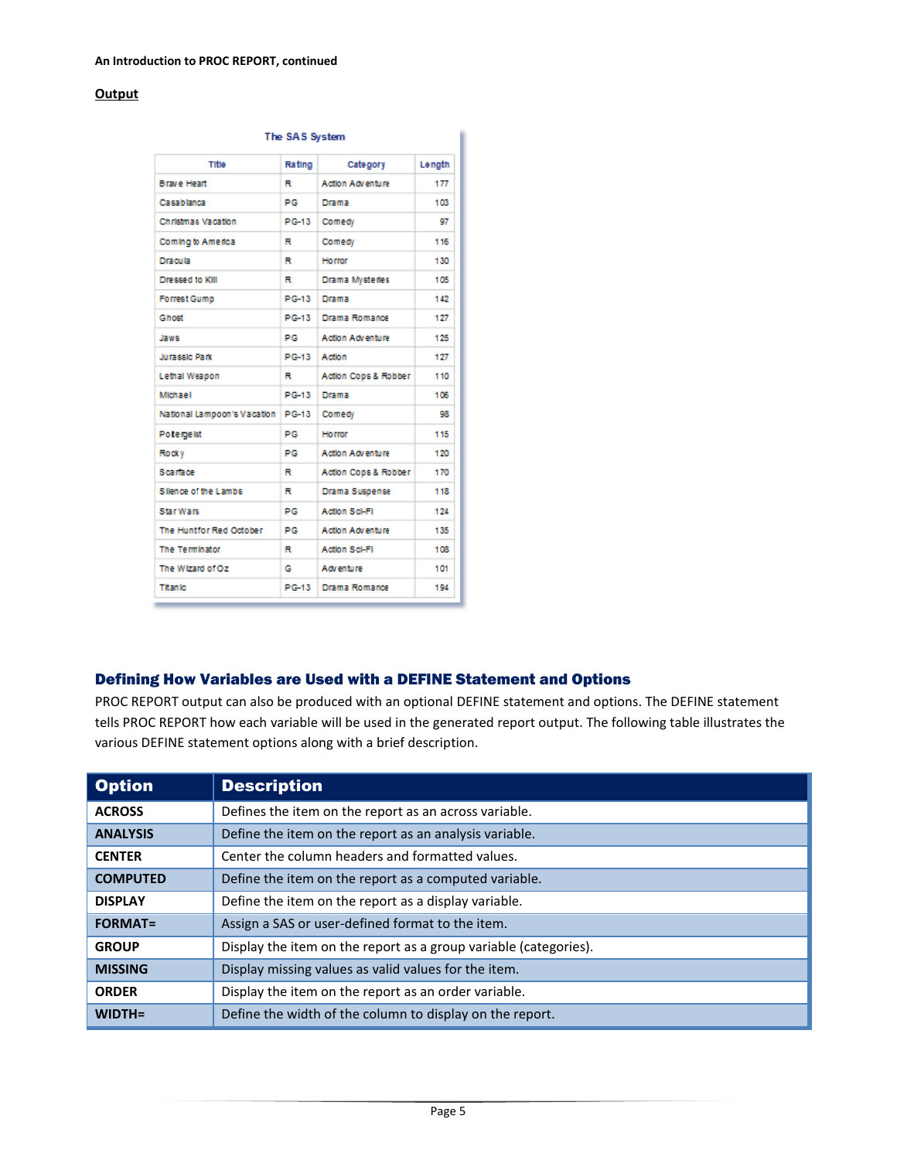#### **Output**

| The SAS System              |              |                         |        |  |  |  |  |
|-----------------------------|--------------|-------------------------|--------|--|--|--|--|
| Title                       | Rating       | Category                | Length |  |  |  |  |
| <b>Brave Heart</b>          | R            | <b>Action Adventure</b> | 177    |  |  |  |  |
| Casablanca                  | PG           | Drama                   | 103    |  |  |  |  |
| Christmas Vacation          | PG-13        | Comedy                  | 97     |  |  |  |  |
| Coming to America           | R            | Comedy                  | 116    |  |  |  |  |
| Dracula                     | R            | <b>Horror</b>           | 130    |  |  |  |  |
| Dressed to KIII             | R            | Drama Mysteries         | 105    |  |  |  |  |
| <b>Forrest Gump</b>         | PG-13        | Drama                   | 142    |  |  |  |  |
| Ghost                       | <b>PG-13</b> | Drama Romance           | 127    |  |  |  |  |
| Jaws                        | PG           | Action Adventure        | 125    |  |  |  |  |
| Jurassic Park               | PG-13        | Action                  | 127    |  |  |  |  |
| Lethal Weapon               | R            | Action Cops & Robber    | 110    |  |  |  |  |
| Michael                     | <b>PG-13</b> | Drama                   | 106    |  |  |  |  |
| National Lampoon's Vacation | PG-13        | Comedy                  | 98     |  |  |  |  |
| Potergelst                  | PG           | <b>Horror</b>           | 115    |  |  |  |  |
| Rocky                       | PG           | Action Adventure        | 120    |  |  |  |  |
| Scarface                    | R            | Action Cops & Robber    | 170    |  |  |  |  |
| Silence of the Lambs        | R            | Drama Suspense          | 118    |  |  |  |  |
| Star Wars                   | РG           | Action Sci-Fi           | 124    |  |  |  |  |
| The Huntfor Red October     | PG           | Action Adventure        | 135    |  |  |  |  |
| The Terminator              | R            | Action Sci-Fi           | 108    |  |  |  |  |
| The Wizard of Oz            | G            | Adventure               | 101    |  |  |  |  |
| <b>Titanic</b>              | PG-13        | Drama Romance           | 194    |  |  |  |  |

# Defining How Variables are Used with a DEFINE Statement and Options

PROC REPORT output can also be produced with an optional DEFINE statement and options. The DEFINE statement tells PROC REPORT how each variable will be used in the generated report output. The following table illustrates the various DEFINE statement options along with a brief description.

| <b>Option</b>   | <b>Description</b>                                               |
|-----------------|------------------------------------------------------------------|
| <b>ACROSS</b>   | Defines the item on the report as an across variable.            |
| <b>ANALYSIS</b> | Define the item on the report as an analysis variable.           |
| <b>CENTER</b>   | Center the column headers and formatted values.                  |
| <b>COMPUTED</b> | Define the item on the report as a computed variable.            |
| <b>DISPLAY</b>  | Define the item on the report as a display variable.             |
| <b>FORMAT=</b>  | Assign a SAS or user-defined format to the item.                 |
| <b>GROUP</b>    | Display the item on the report as a group variable (categories). |
| <b>MISSING</b>  | Display missing values as valid values for the item.             |
| <b>ORDER</b>    | Display the item on the report as an order variable.             |
| $WIDTH =$       | Define the width of the column to display on the report.         |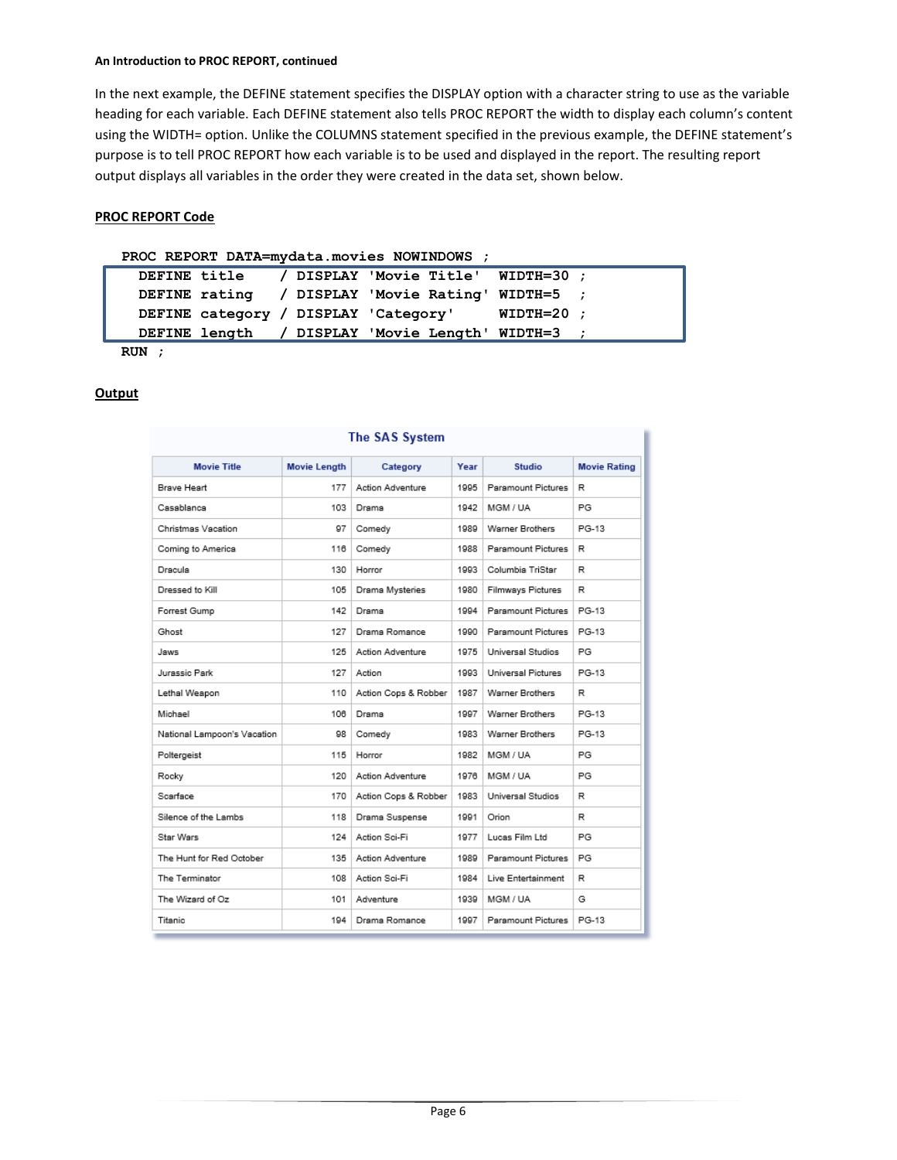#### **An Introduction to PROC REPORT, continued**

In the next example, the DEFINE statement specifies the DISPLAY option with a character string to use as the variable heading for each variable. Each DEFINE statement also tells PROC REPORT the width to display each column's content using the WIDTH= option. Unlike the COLUMNS statement specified in the previous example, the DEFINE statement's purpose is to tell PROC REPORT how each variable is to be used and displayed in the report. The resulting report output displays all variables in the order they were created in the data set, shown below.

# **PROC REPORT Code**

#### **PROC REPORT DATA=mydata.movies NOWINDOWS ;**

|  | DEFINE title / DISPLAY 'Movie Title' WIDTH=30 ;  |  |
|--|--------------------------------------------------|--|
|  | DEFINE rating / DISPLAY 'Movie Rating' WIDTH=5 ; |  |
|  | DEFINE category / DISPLAY 'Category' WIDTH=20;   |  |
|  | DEFINE length / DISPLAY 'Movie Length' WIDTH=3 ; |  |

**RUN ;**

#### **Output**

| гне эмэ зуыеш               |                     |                         |      |                    |                     |  |  |  |
|-----------------------------|---------------------|-------------------------|------|--------------------|---------------------|--|--|--|
| <b>Movie Title</b>          | <b>Movie Length</b> | Category                | Year | <b>Studio</b>      | <b>Movie Rating</b> |  |  |  |
| Brave Heart                 | 177                 | <b>Action Adventure</b> | 1995 | Paramount Pictures | R                   |  |  |  |
| Casablanca                  | 103                 | Drama                   | 1942 | MGM / UA           | PG                  |  |  |  |
| Christmas Vacation          | 97                  | Comedy                  | 1989 | Warner Brothers    | PG-13               |  |  |  |
| Coming to America           | 116                 | Comedy                  | 1988 | Paramount Pictures | R                   |  |  |  |
| Dracula                     | 130                 | Horror                  | 1993 | Columbia TriStar   | R                   |  |  |  |
| Dressed to Kill             | 105                 | Drama Mysteries         | 1980 | Filmways Pictures  | R                   |  |  |  |
| Forrest Gump                | 142                 | Drama                   | 1994 | Paramount Pictures | PG-13               |  |  |  |
| Ghost                       | 127                 | Drama Romance           | 1990 | Paramount Pictures | PG-13               |  |  |  |
| Jaws                        | 125                 | <b>Action Adventure</b> | 1975 | Universal Studios  | PG                  |  |  |  |
| Jurassic Park               | 127                 | Action                  | 1993 | Universal Pictures | PG-13               |  |  |  |
| Lethal Weapon               | 110                 | Action Cops & Robber    | 1987 | Warner Brothers    | R                   |  |  |  |
| Michael                     | 108                 | Drama                   | 1997 | Warner Brothers    | PG-13               |  |  |  |
| National Lampoon's Vacation | 98                  | Comedy                  | 1983 | Warner Brothers    | PG-13               |  |  |  |
| Poltergeist                 | 115                 | Horror                  | 1982 | MGM / UA           | PG                  |  |  |  |
| Rocky                       | 120                 | <b>Action Adventure</b> | 1976 | MGM / UA           | PG                  |  |  |  |
| Scarface                    | 170                 | Action Cops & Robber    | 1983 | Universal Studios  | R                   |  |  |  |
| Silence of the Lambs        | 118                 | Drama Suspense          | 1991 | Orion              | R                   |  |  |  |
| Star Wars                   | 124                 | Action Sci-Fi           | 1977 | Lucas Film Ltd     | PG.                 |  |  |  |
| The Hunt for Red October    | 135                 | <b>Action Adventure</b> | 1989 | Paramount Pictures | PG                  |  |  |  |
| The Terminator              | 108                 | Action Sci-Fi           | 1984 | Live Entertainment | R                   |  |  |  |
| The Wizard of Oz            | 101                 | Adventure               | 1939 | MGM / UA           | G                   |  |  |  |
| Titanic                     | 194                 | Drama Romance           | 1997 | Paramount Pictures | PG-13               |  |  |  |

# The CAC Custom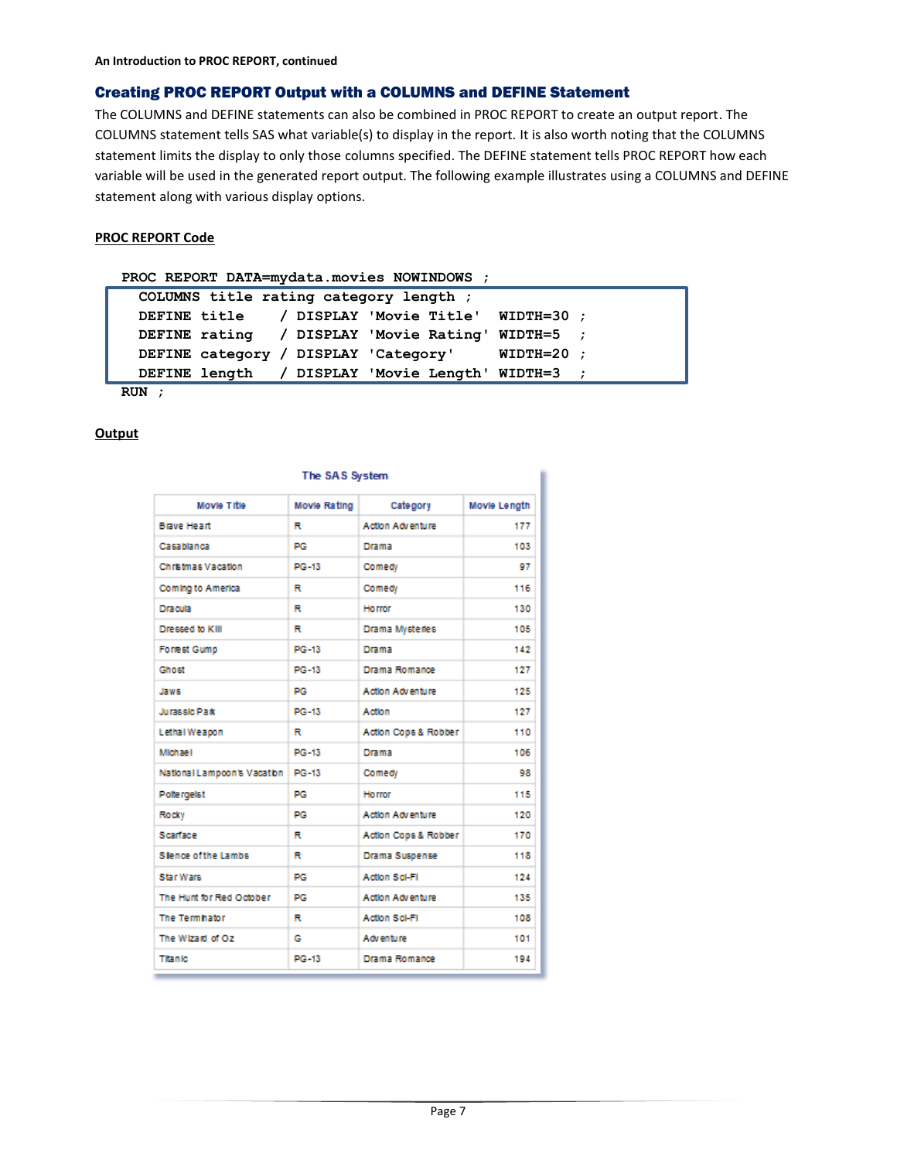# Creating PROC REPORT Output with a COLUMNS and DEFINE Statement

The COLUMNS and DEFINE statements can also be combined in PROC REPORT to create an output report. The COLUMNS statement tells SAS what variable(s) to display in the report. It is also worth noting that the COLUMNS statement limits the display to only those columns specified. The DEFINE statement tells PROC REPORT how each variable will be used in the generated report output. The following example illustrates using a COLUMNS and DEFINE statement along with various display options.

# **PROC REPORT Code**

#### **PROC REPORT DATA=mydata.movies NOWINDOWS ;**

|  | COLUMNS title rating category length; |  |  |                                                  |  |
|--|---------------------------------------|--|--|--------------------------------------------------|--|
|  |                                       |  |  | DEFINE title / DISPLAY 'Movie Title' WIDTH=30 ;  |  |
|  |                                       |  |  | DEFINE rating / DISPLAY 'Movie Rating' WIDTH=5 ; |  |
|  |                                       |  |  | DEFINE category / DISPLAY 'Category' WIDTH=20 ;  |  |
|  |                                       |  |  | DEFINE length / DISPLAY 'Movie Length' WIDTH=3 ; |  |
|  |                                       |  |  |                                                  |  |

**RUN ;**

# **Output**

| Movie Title                 | Movie Rating | Category                | Movie Length |
|-----------------------------|--------------|-------------------------|--------------|
| <b>Brave Heart</b>          | R            | <b>Action Adventure</b> | 177          |
| Casablanca                  | PG.          | Drama                   | 103          |
| Christmas Vacation          | <b>PG-13</b> | Comedy                  | 97           |
| Coming to America           | R            | Comedy                  | 116          |
| <b>Dracula</b>              | R            | Horror                  | 130          |
| Dressed to KIII             | R            | Drama Mysteries         | 105          |
| <b>Forrest Gump</b>         | PG-13        | Drama                   | 142          |
| Chost                       | PG-13        | Drama Romance           | 127          |
| Jaws                        | PG           | Action Adventure        | 125          |
| Jurassic Park               | $PG-13$      | Action                  | 127          |
| Lethal Weapon               | R            | Action Cops & Robber    | 110          |
| Mich ae I                   | $PG-13$      | Drama                   | 106          |
| National Lampoon's Vacation | PG-13        | Comedy                  | 98           |
| Poltergelst                 | PG           | Horror                  | 115          |
| Rocky                       | DG.          | Action Adventure        | 120          |
| Scarface                    | R            | Action Cops & Robber    | 170          |
| Slence of the Lambs         | R            | Drama Suspense          | 118          |
| <b>Star Wars</b>            | PG.          | Action Sci-Fi           | 124          |
| The Hunt for Red October    | PG           | <b>Action Adventure</b> | 135          |
| The Termhator               | R            | Action Sci-Fi           | 108          |
| The Wizard of Oz            | G            | Adventure               | 101          |
| <b>Titanic</b>              | PG-13        | Drama Romance           | 194          |

#### The SAS System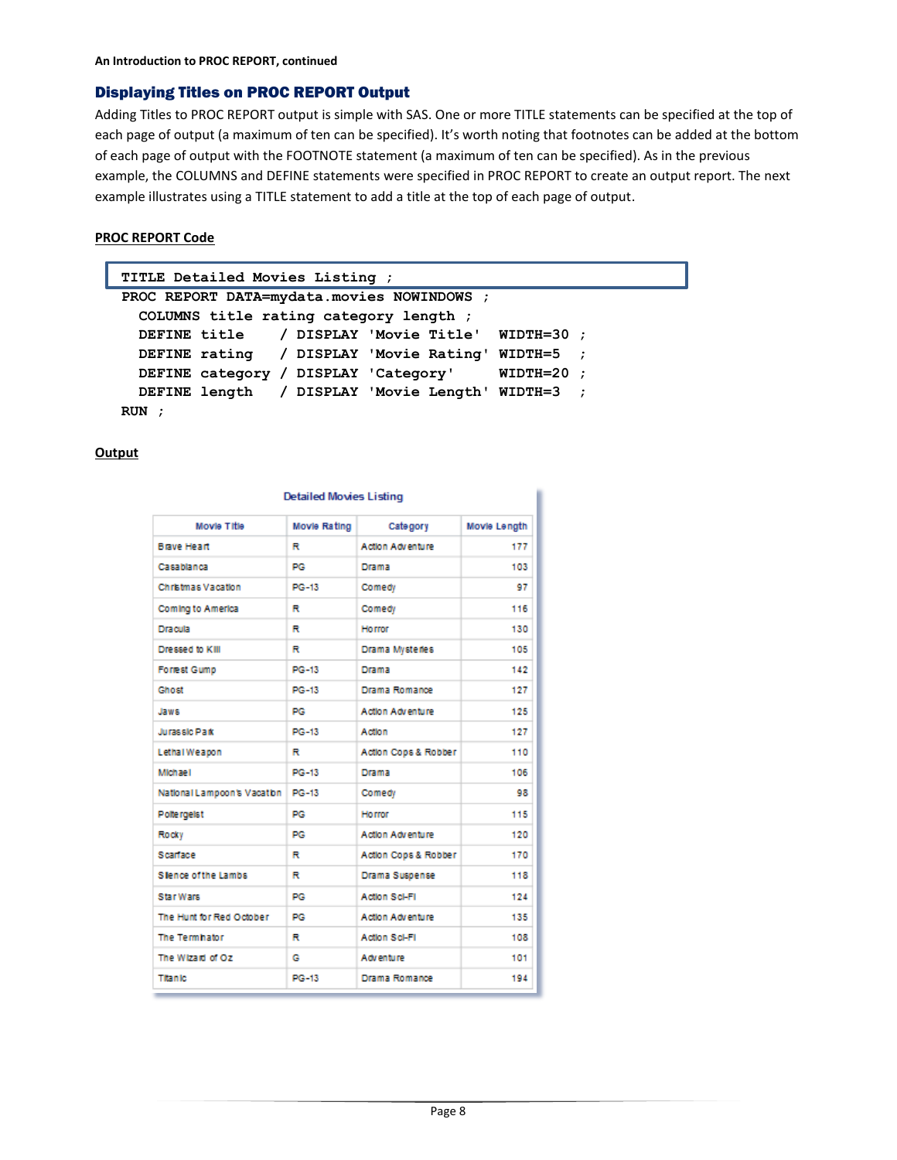# Displaying Titles on PROC REPORT Output

Adding Titles to PROC REPORT output is simple with SAS. One or more TITLE statements can be specified at the top of each page of output (a maximum of ten can be specified). It's worth noting that footnotes can be added at the bottom of each page of output with the FOOTNOTE statement (a maximum of ten can be specified). As in the previous example, the COLUMNS and DEFINE statements were specified in PROC REPORT to create an output report. The next example illustrates using a TITLE statement to add a title at the top of each page of output.

# **PROC REPORT Code**

```
TITLE Detailed Movies Listing ;
PROC REPORT DATA=mydata.movies NOWINDOWS ;
  COLUMNS title rating category length ;
 DEFINE title / DISPLAY 'Movie Title' WIDTH=30 ;
 DEFINE rating / DISPLAY 'Movie Rating' WIDTH=5 ;
 DEFINE category / DISPLAY 'Category' WIDTH=20 ;
 DEFINE length / DISPLAY 'Movie Length' WIDTH=3 ;
RUN ;
```

| <b>Detailed Movies Listing</b> |              |                         |              |  |  |  |  |
|--------------------------------|--------------|-------------------------|--------------|--|--|--|--|
| Movie Title                    | Movie Rating | Category                | Movie Length |  |  |  |  |
| <b>Brave Heart</b>             | R            | Action Adventure        | 177          |  |  |  |  |
| Casablanca                     | PG           | Drama                   | 103          |  |  |  |  |
| Christmas Vacation             | PG-13        | Comedy                  | 97           |  |  |  |  |
| Coming to America              | R            | Comedy                  | 116          |  |  |  |  |
| Dracula                        | R            | <b>Horror</b>           | 130          |  |  |  |  |
| Dressed to KIII                | R            | Drama Mysteries         | 105          |  |  |  |  |
| <b>Forrest Gump</b>            | PG-13        | Drama                   | 142          |  |  |  |  |
| Chost                          | PG-13        | Drama Romance           | 127          |  |  |  |  |
| Jaws.                          | PG           | Action Adventure        | 125          |  |  |  |  |
| Jurassic Park                  | PG-13        | Action                  | 127          |  |  |  |  |
| Lethal Weapon                  | R            | Action Cops & Robber    | 110          |  |  |  |  |
| Michael                        | PG-13        | <b>Drama</b>            | 106          |  |  |  |  |
| National Lampoon's Vacation    | PG-13        | Comedy                  | 98           |  |  |  |  |
| <b>Poltergelst</b>             | PG           | Horror                  | 115          |  |  |  |  |
| Rocky                          | PG           | <b>Action Adventure</b> | 120          |  |  |  |  |
| Scarface                       | R            | Action Cops & Robber    | 170          |  |  |  |  |
| <b>Slence of the Lambs</b>     | R            | Drama Suspense          | 118          |  |  |  |  |
| Star Wars                      | PG           | Action Sci-Fi           | 124          |  |  |  |  |
| The Hunt for Red October       | PG           | <b>Action Adventure</b> | 135          |  |  |  |  |
| The Termhator                  | R            | Action Sci-Fi           | 108          |  |  |  |  |
| The Wizard of Oz               | G            | Adventure               | 101          |  |  |  |  |
| <b>Titanic</b>                 | PG-13        | Drama Romance           | 194          |  |  |  |  |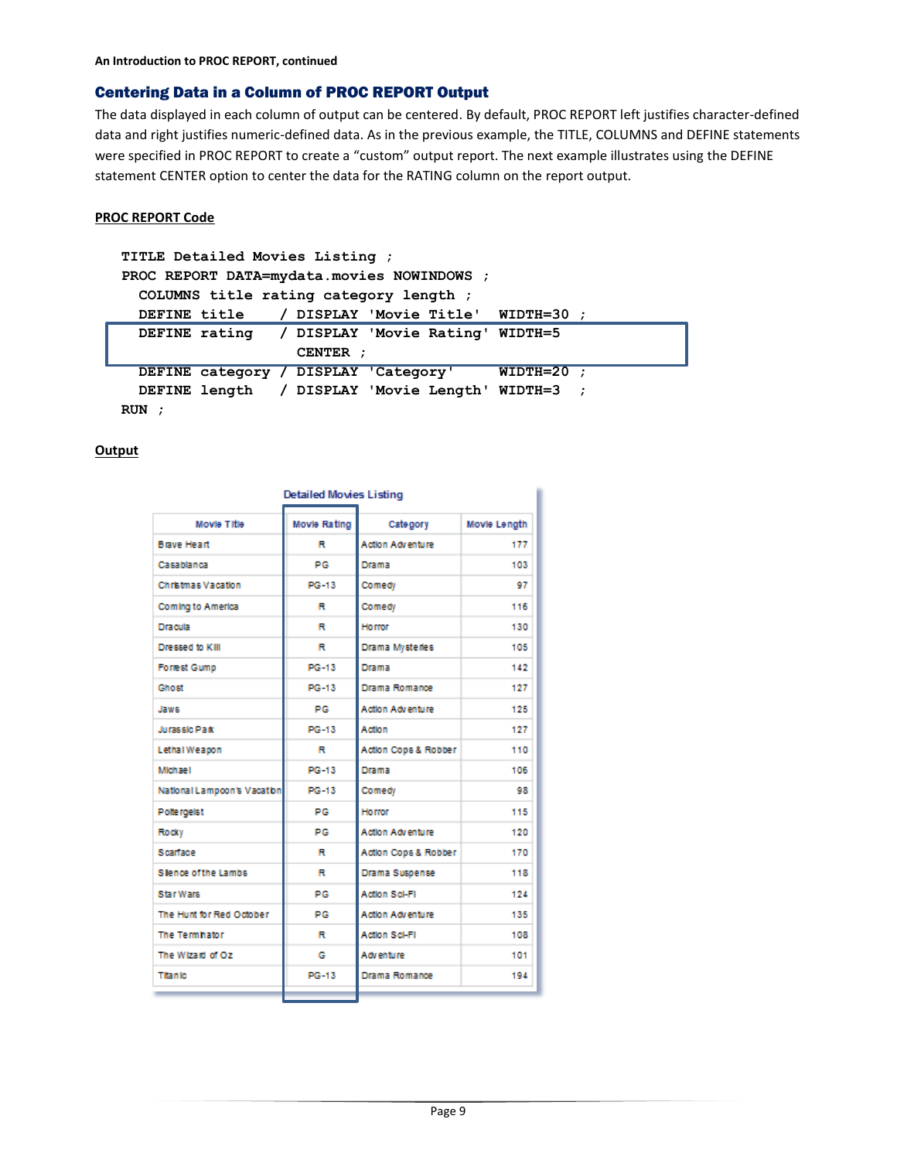# Centering Data in a Column of PROC REPORT Output

The data displayed in each column of output can be centered. By default, PROC REPORT left justifies character-defined data and right justifies numeric-defined data. As in the previous example, the TITLE, COLUMNS and DEFINE statements were specified in PROC REPORT to create a "custom" output report. The next example illustrates using the DEFINE statement CENTER option to center the data for the RATING column on the report output.

# **PROC REPORT Code**

```
TITLE Detailed Movies Listing ;
PROC REPORT DATA=mydata.movies NOWINDOWS ;
 COLUMNS title rating category length ;
 DEFINE title / DISPLAY 'Movie Title' WIDTH=30 ;
  DEFINE rating / DISPLAY 'Movie Rating' WIDTH=5
                    CENTER ;
 DEFINE category / DISPLAY 'Category' WIDTH=20 ;
 DEFINE length / DISPLAY 'Movie Length' WIDTH=3 ;
RUN ;
```

| <b>Detailed Movies Listing</b> |              |                         |              |  |  |  |
|--------------------------------|--------------|-------------------------|--------------|--|--|--|
| Movie Title                    | Movie Rating | Category                | Movie Length |  |  |  |
| <b>Brave Heart</b>             | R            | Action Adventure        | 177          |  |  |  |
| Casablanca                     | PG           | Drama                   | 103          |  |  |  |
| Christmas Vacation             | PG-13        | Comedy                  | 97           |  |  |  |
| Coming to America              | R            | Comedy                  | 116          |  |  |  |
| Dracula                        | R            | Horror                  | 130          |  |  |  |
| Dressed to KIII                | R            | Drama Mysterles         | 105          |  |  |  |
| <b>Forrest Gump</b>            | PG-13        | Drama                   | 142          |  |  |  |
| Ghost                          | PG-13        | Drama Romance           | 127          |  |  |  |
| Jaws                           | PG           | Action Adventure        | 125          |  |  |  |
| Jurassic Park                  | PG-13        | Action                  | 127          |  |  |  |
| Lethal Weapon                  | R            | Action Cops & Robber    | 110          |  |  |  |
| Michael                        | PG-13        | Drama                   | 106          |  |  |  |
| National Lampoon's Vacation    | PG-13        | Comedy                  | 98           |  |  |  |
| Poltergelst                    | PG           | <b>Horror</b>           | 115          |  |  |  |
| Rocky                          | PG           | Action Adventure        | 120          |  |  |  |
| Scarface                       | R            | Action Cops & Robber    | 170          |  |  |  |
| <b>Slence of the Lambs</b>     | R            | Drama Suspense          | 118          |  |  |  |
| Star Wars                      | PG           | Action Sci-Fi           | 124          |  |  |  |
| The Hunt for Red October       | PG           | <b>Action Adventure</b> | 135          |  |  |  |
| The Termhator                  | R            | <b>Action Sci-Fil</b>   | 108          |  |  |  |
| The Wizard of Oz               | G            | Adventure               | 101          |  |  |  |
| Titanic                        | PG-13        | Drama Romance           | 194          |  |  |  |
|                                |              |                         |              |  |  |  |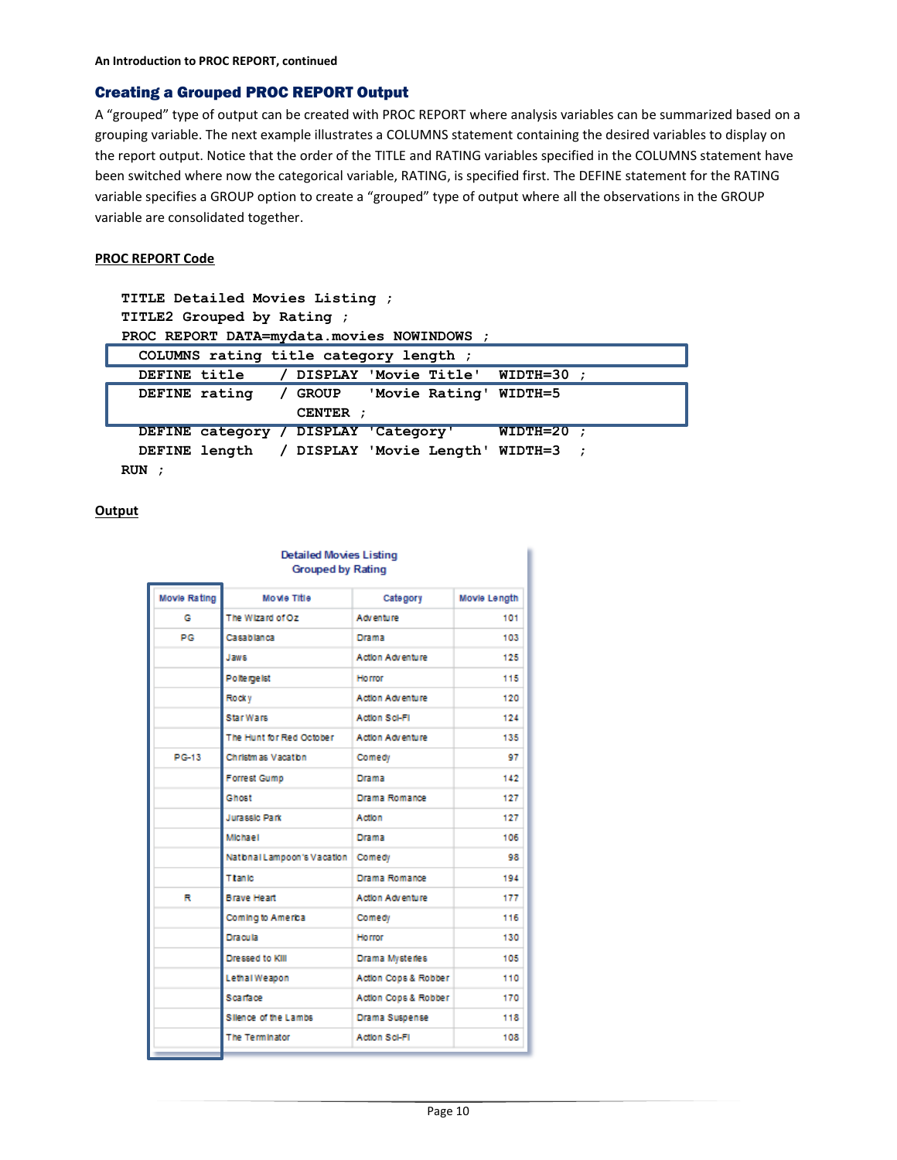# Creating a Grouped PROC REPORT Output

A "grouped" type of output can be created with PROC REPORT where analysis variables can be summarized based on a grouping variable. The next example illustrates a COLUMNS statement containing the desired variables to display on the report output. Notice that the order of the TITLE and RATING variables specified in the COLUMNS statement have been switched where now the categorical variable, RATING, is specified first. The DEFINE statement for the RATING variable specifies a GROUP option to create a "grouped" type of output where all the observations in the GROUP variable are consolidated together.

#### **PROC REPORT Code**

| TITLE Detailed Movies Listing ;                         |           |  |  |  |  |
|---------------------------------------------------------|-----------|--|--|--|--|
| TITLE2 Grouped by Rating ;                              |           |  |  |  |  |
| PROC REPORT DATA=mydata.movies NOWINDOWS ;              |           |  |  |  |  |
| COLUMNS rating title category length;                   |           |  |  |  |  |
| / DISPLAY 'Movie Title' WIDTH=30<br><b>DEFINE title</b> |           |  |  |  |  |
| DEFINE rating / GROUP 'Movie Rating' WIDTH=5            |           |  |  |  |  |
| CENTER :                                                |           |  |  |  |  |
| WIDTH=20<br>DEFINE category / DISPLAY 'Category'        | $\cdot$ : |  |  |  |  |
| DEFINE length / DISPLAY 'Movie Length' WIDTH=3 ;        |           |  |  |  |  |
| RUN                                                     |           |  |  |  |  |

| <b>Detailed Movies Listing</b><br><b>Grouped by Rating</b> |                                      |                         |              |  |
|------------------------------------------------------------|--------------------------------------|-------------------------|--------------|--|
| Movie Rating                                               | <b>Movie Title</b>                   | Category                | Movie Length |  |
| G                                                          | The Wizard of Oz                     | Adventure               | 101          |  |
| PG                                                         | Casablanca                           | Drama                   | 103          |  |
|                                                            | Jaws                                 | <b>Action Adventure</b> | 125          |  |
|                                                            | Poltergelst                          | Horror                  | 115          |  |
|                                                            | Rocky                                | Action Adventure        | 120          |  |
|                                                            | <b>Star Wars</b>                     | Action Sci-Fi           | 124          |  |
|                                                            | The Hunt for Red October             | <b>Action Adventure</b> | 135          |  |
| PG-13                                                      | Christmas Vacation                   | Comedy                  | 97           |  |
|                                                            | <b>Forrest Gump</b>                  | Drama                   | 142          |  |
|                                                            | Ghost                                | Drama Romance           | 127          |  |
|                                                            | <b>Jurassic Park</b>                 | Action                  | 127          |  |
|                                                            | <b>Michael</b>                       | Drama                   | 106          |  |
|                                                            | National Lampoon's Vacation   Comedy |                         | 98           |  |
|                                                            | <b>Titanic</b>                       | Drama Romance           | 194          |  |
| R                                                          | <b>Brave Heart</b>                   | Action Adventure        | 177          |  |
|                                                            | Coming to America                    | Comedy                  | 116          |  |
|                                                            | <b>Dracula</b>                       | <b>Horror</b>           | 130          |  |
|                                                            | Dressed to KIII                      | Drama Mysteries         | 105          |  |
|                                                            | Lethal Weapon                        | Action Cops & Robber    | 110          |  |
|                                                            | Scartace                             | Action Cops & Robber    | 170          |  |
|                                                            | Silence of the Lambs                 | Drama Suspense          | 118          |  |
|                                                            | The Terminator                       | Action Sci-Fi           | 108          |  |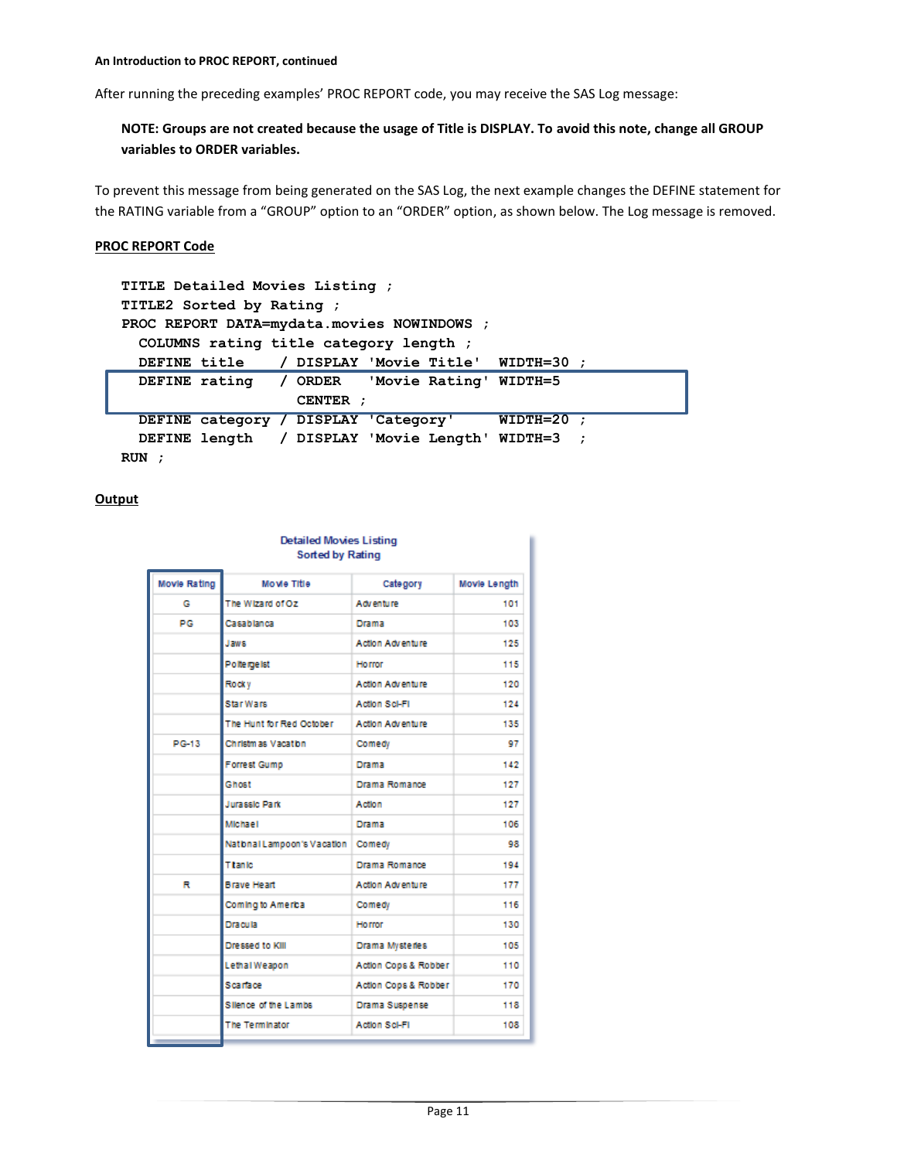After running the preceding examples' PROC REPORT code, you may receive the SAS Log message:

# **NOTE: Groups are not created because the usage of Title is DISPLAY. To avoid this note, change all GROUP variables to ORDER variables.**

To prevent this message from being generated on the SAS Log, the next example changes the DEFINE statement for the RATING variable from a "GROUP" option to an "ORDER" option, as shown below. The Log message is removed.

#### **PROC REPORT Code**

```
TITLE Detailed Movies Listing ;
TITLE2 Sorted by Rating ;
PROC REPORT DATA=mydata.movies NOWINDOWS ;
 COLUMNS rating title category length ;
 DEFINE title / DISPLAY 'Movie Title' WIDTH=30 ;
  DEFINE rating / ORDER 'Movie Rating' WIDTH=5
                    CENTER ;
 DEFINE category / DISPLAY 'Category' WIDTH=20 ;
 DEFINE length / DISPLAY 'Movie Length' WIDTH=3 ;
RUN ;
```

| <b>Detailed Movies Listing</b><br><b>Sorted by Rating</b> |                                    |                         |                     |  |
|-----------------------------------------------------------|------------------------------------|-------------------------|---------------------|--|
| Movie Rating                                              | Movie Title                        | Category                | <b>Movie Length</b> |  |
| G                                                         | The Wizard of Oz                   | Adventure               | 101                 |  |
| PG                                                        | Casablanca                         | Drama                   | 103                 |  |
|                                                           | Jaws                               | Action Adventure        | 125                 |  |
|                                                           | Poltergelst                        | Horror                  | 115                 |  |
|                                                           | Rocky                              | <b>Action Adventure</b> | 120                 |  |
|                                                           | Star Wars                          | Action Sci-Fi           | 124                 |  |
|                                                           | The Hunt for Red October           | Action Adventure        | 135                 |  |
| PG-13                                                     | Christmas Vacation                 | Comedy                  | 97                  |  |
|                                                           | <b>Forrest Gump</b>                | Drama                   | 142                 |  |
|                                                           | Ghost                              | Drama Romance           | 127                 |  |
|                                                           | <b>Jurassic Park</b>               | Action                  | 127                 |  |
|                                                           | <b>Michael</b>                     | Drama                   | 106                 |  |
|                                                           | National Lampoon's Vacation Comedy |                         | 98                  |  |
|                                                           | <b>Titanic</b>                     | Drama Romance           | 194                 |  |
| R                                                         | <b>Brave Heart</b>                 | <b>Action Adventure</b> | 177                 |  |
|                                                           | Coming to America                  | Comedy                  | 116                 |  |
|                                                           | Dracula                            | Horror                  | 130                 |  |
|                                                           | Dressed to KIII                    | Drama Mysteries         | 105                 |  |
|                                                           | Lethal Weapon                      | Action Cops & Robber    | 110                 |  |
|                                                           | Scartace                           | Action Cops & Robber    | 170                 |  |
|                                                           | Silence of the Lambs               | Drama Suspense          | 118                 |  |
|                                                           | The Terminator                     | Action Sci-Fi           | 108                 |  |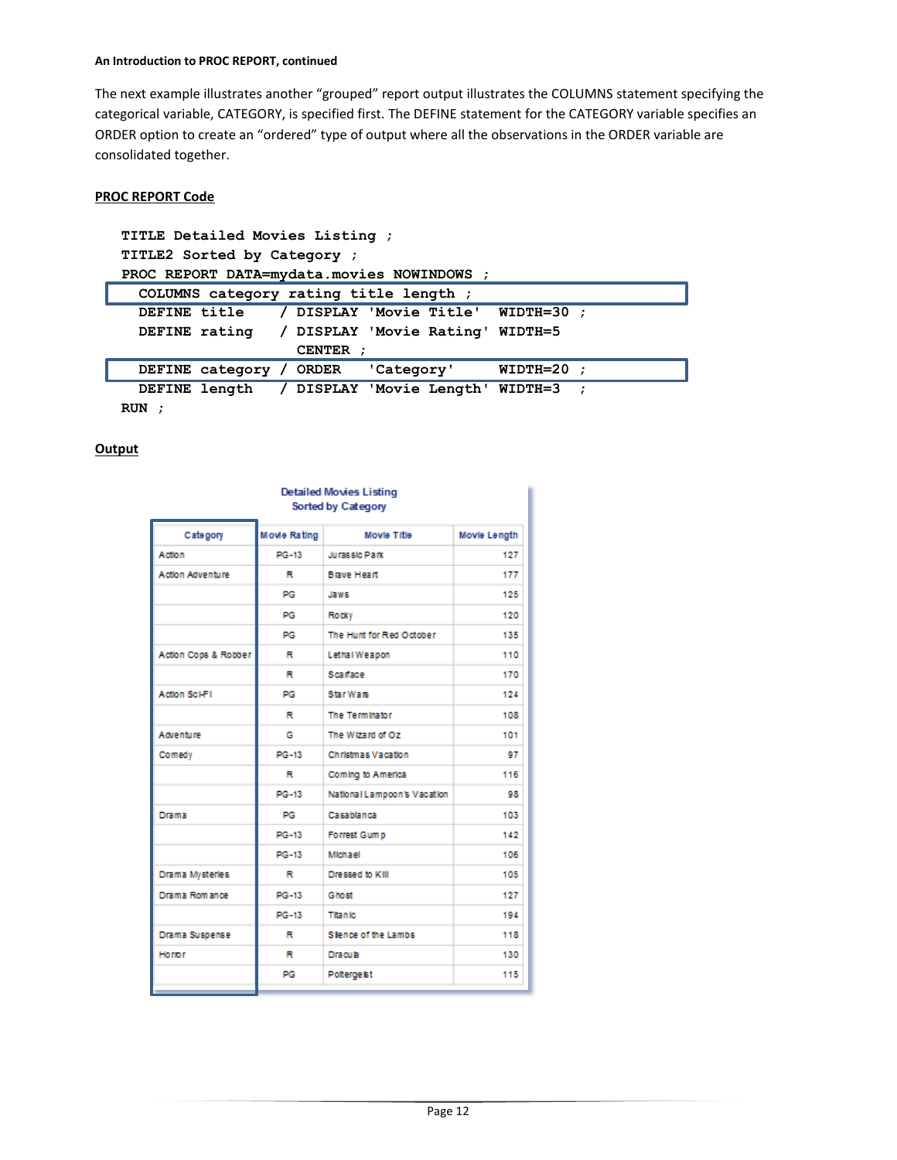#### **An Introduction to PROC REPORT, continued**

The next example illustrates another "grouped" report output illustrates the COLUMNS statement specifying the categorical variable, CATEGORY, is specified first. The DEFINE statement for the CATEGORY variable specifies an ORDER option to create an "ordered" type of output where all the observations in the ORDER variable are consolidated together.

#### **PROC REPORT Code**

| TITLE Detailed Movies Listing ;                           |  |  |  |  |
|-----------------------------------------------------------|--|--|--|--|
| TITLE2 Sorted by Category ;                               |  |  |  |  |
| PROC REPORT DATA=mydata.movies NOWINDOWS ;                |  |  |  |  |
| COLUMNS category rating title length;                     |  |  |  |  |
| / DISPLAY 'Movie Title' WIDTH=30 ;<br><b>DEFINE title</b> |  |  |  |  |
| DEFINE rating / DISPLAY 'Movie Rating' WIDTH=5            |  |  |  |  |
| CENTER ;                                                  |  |  |  |  |
| $WIDTH=20$ ;<br>DEFINE category / ORDER 'Category'        |  |  |  |  |
| DEFINE length / DISPLAY 'Movie Length' WIDTH=3 ;          |  |  |  |  |
| <b>RUN</b>                                                |  |  |  |  |

| <b>Detailed Movies Listing</b><br>Sorted by Category |              |                             |              |  |  |
|------------------------------------------------------|--------------|-----------------------------|--------------|--|--|
|                                                      |              |                             |              |  |  |
| Category                                             | Movie Rating | Movie Title                 | Movie Length |  |  |
| Action                                               | PG-13        | <b>Jurassic Park</b>        | 127          |  |  |
| <b>Action Adventure</b>                              | R            | <b>Brave Heart</b>          | 177          |  |  |
|                                                      | PG           | Jaws                        | 125          |  |  |
|                                                      | PG           | Rocky                       | 120          |  |  |
|                                                      | PG           | The Hunt for Red October    | 135          |  |  |
| Action Cops & Robber                                 | R            | Lethal Weapon               | 110          |  |  |
|                                                      | R            | Scarace                     | 170          |  |  |
| Action Sci-Fi                                        | PG           | <b>Star Wars</b>            | 124          |  |  |
|                                                      | R            | The Terminator              | 108          |  |  |
| Adventure                                            | G            | The Wizard of Oz            | 101          |  |  |
| Comedy                                               | PG-13        | Christmas Vacation          | 97           |  |  |
|                                                      | R            | Coming to America           | 116          |  |  |
|                                                      | PG-13        | National Lampoon's Vacation | 98           |  |  |
| Drama                                                | PG           | Casablanca                  | 103          |  |  |
|                                                      | PG-13        | Forrest Gump                | 142          |  |  |
|                                                      | PG-13        | Michael                     | 106          |  |  |
| Drama Mysterles                                      | R            | Dressed to KIII             | 105          |  |  |
| Drama Romance                                        | PG-13        | Ghost                       | 127          |  |  |
|                                                      | PG-13        | <b>Titanic</b>              | 194          |  |  |
| Drama Suspense                                       | R            | Slence of the Lambs         | 118          |  |  |
| Horror                                               | R            | <b>Dracula</b>              | 130          |  |  |
|                                                      | PG           | <b>Poltergelst</b>          | 115          |  |  |
|                                                      |              |                             |              |  |  |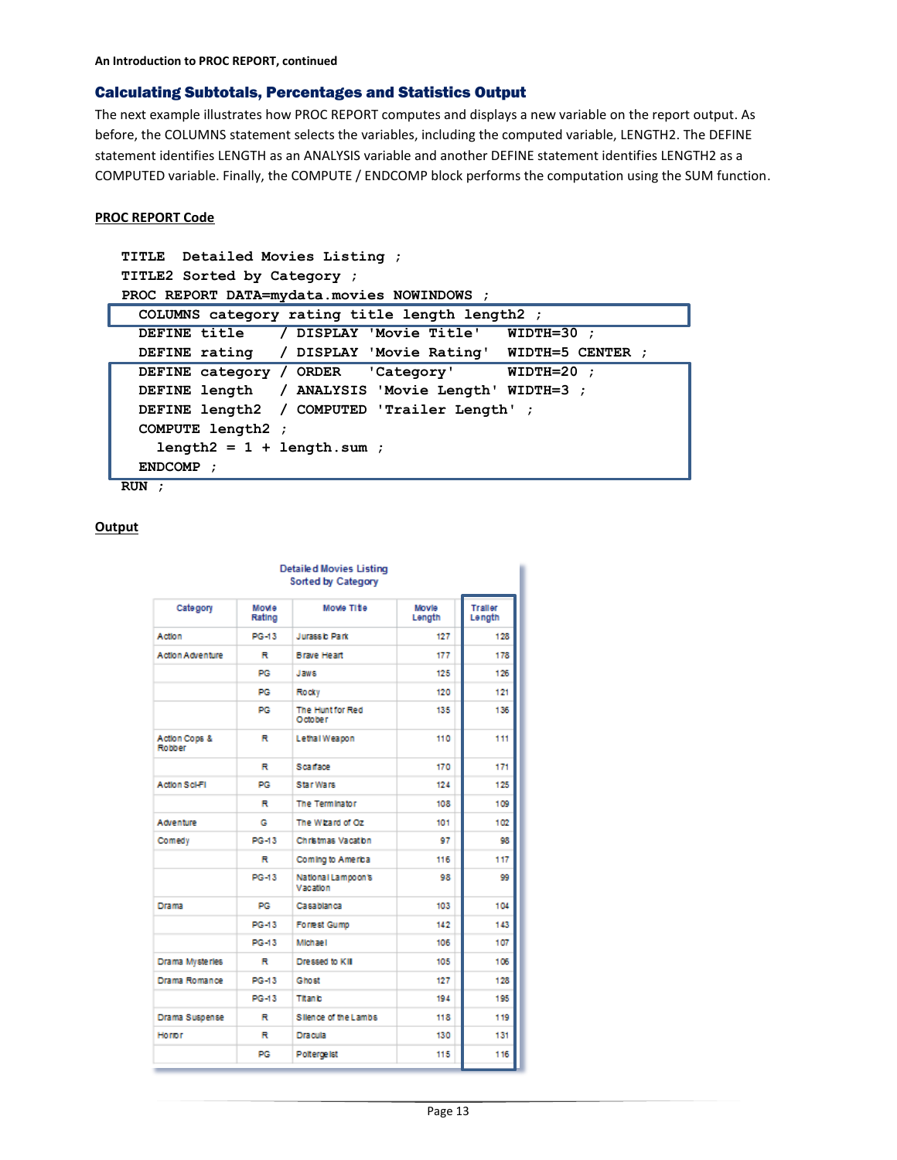# Calculating Subtotals, Percentages and Statistics Output

The next example illustrates how PROC REPORT computes and displays a new variable on the report output. As before, the COLUMNS statement selects the variables, including the computed variable, LENGTH2. The DEFINE statement identifies LENGTH as an ANALYSIS variable and another DEFINE statement identifies LENGTH2 as a COMPUTED variable. Finally, the COMPUTE / ENDCOMP block performs the computation using the SUM function.

# **PROC REPORT Code**

```
TITLE Detailed Movies Listing ;
TITLE2 Sorted by Category ;
PROC REPORT DATA=mydata.movies NOWINDOWS ;
 COLUMNS category rating title length length2 ;
 DEFINE title / DISPLAY 'Movie Title' WIDTH=30 ;
 DEFINE rating / DISPLAY 'Movie Rating' WIDTH=5 CENTER ;
 DEFINE category / ORDER 'Category' WIDTH=20 ;
 DEFINE length / ANALYSIS 'Movie Length' WIDTH=3 ;
 DEFINE length2 / COMPUTED 'Trailer Length' ;
 COMPUTE length2 ;
    length2 = 1 + length.sum ;
 ENDCOMP ;
RUN ;
```

| <b>Detailed Movies Listing</b><br><b>Sorted by Category</b> |                 |                                |                 |                   |  |
|-------------------------------------------------------------|-----------------|--------------------------------|-----------------|-------------------|--|
| Category                                                    | Movie<br>Rating | Movie Title                    | Movie<br>Length | Traller<br>Length |  |
| Action                                                      | PG-13           | Jurassic Park                  | 127             | 128               |  |
| <b>Action Adventure</b>                                     | R               | <b>Brave Heart</b>             | 177             | 178               |  |
|                                                             | PG              | Jaws                           | 125             | 126               |  |
|                                                             | PG              | Rocky                          | 120             | 121               |  |
|                                                             | PG              | The Hunt for Red<br>October    | 135             | 136               |  |
| Action Cops &<br>Robber                                     | R               | Lethal Weapon                  | 110             | 111               |  |
|                                                             | R               | Scarface                       | 170             | 171               |  |
| <b>Action Sci-Fi</b>                                        | PG              | Star Wars                      | 124             | 125               |  |
|                                                             | R               | The Terminator                 | 108             | 109               |  |
| Adventure                                                   | G               | The Wizard of Oz               | 101             | 102               |  |
| Comedy                                                      | PG-13           | Christmas Vacation             | 97              | 98                |  |
|                                                             | R               | Coming to America              | 116             | 117               |  |
|                                                             | PG-13           | National Lampoon's<br>Vacation | 98              | œ                 |  |
| <b>Drama</b>                                                | PG              | Casablanca                     | 103             | 104               |  |
|                                                             | PG-13           | <b>Forrest Gump</b>            | 142             | 143               |  |
|                                                             | PG-13           | Michael                        | 106             | 107               |  |
| Drama Mysterles                                             | R               | Dressed to KII                 | 105             | 106               |  |
| Drama Romance                                               | PG-13           | Ghost                          | 127             | 128               |  |
|                                                             | PG-13           | <b>Titanic</b>                 | 194             | 195               |  |
| Drama Suspense                                              | R               | Silence of the Lambs           | 118             | 119               |  |
| Horror                                                      | R               | <b>Dracula</b>                 | 130             | 131               |  |
|                                                             | PG              | Polterge ist                   | 115             | 116               |  |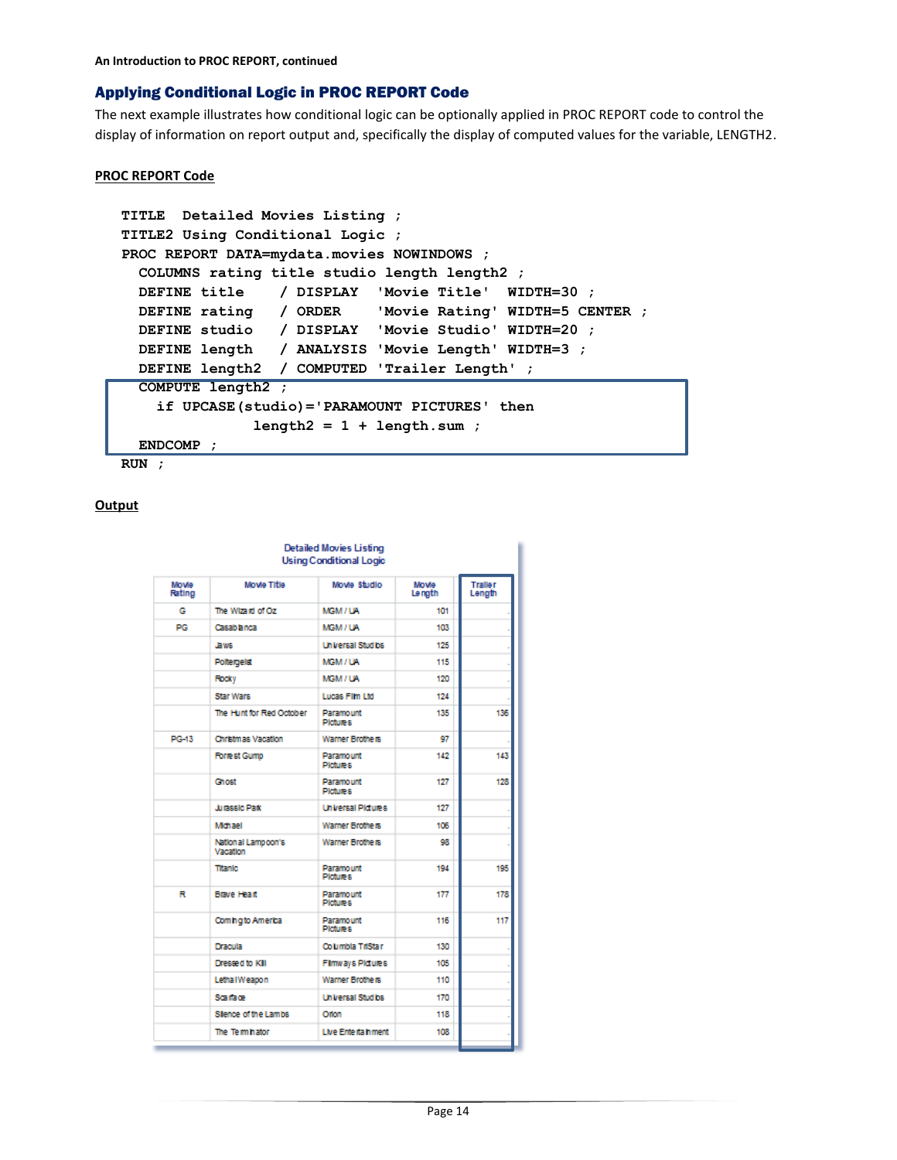# Applying Conditional Logic in PROC REPORT Code

The next example illustrates how conditional logic can be optionally applied in PROC REPORT code to control the display of information on report output and, specifically the display of computed values for the variable, LENGTH2.

#### **PROC REPORT Code**

```
TITLE Detailed Movies Listing ;
TITLE2 Using Conditional Logic ;
PROC REPORT DATA=mydata.movies NOWINDOWS ;
 COLUMNS rating title studio length length2 ;
 DEFINE title / DISPLAY 'Movie Title' WIDTH=30 ;
 DEFINE rating / ORDER 'Movie Rating' WIDTH=5 CENTER ;
  DEFINE studio / DISPLAY 'Movie Studio' WIDTH=20 ;
 DEFINE length / ANALYSIS 'Movie Length' WIDTH=3 ;
  DEFINE length2 / COMPUTED 'Trailer Length' ;
 COMPUTE length2 ;
    if UPCASE(studio)='PARAMOUNT PICTURES' then
               length2 = 1 + length.sum ;
 ENDCOMP ;
```
**RUN ;**

|                 |                                | <b>Detailed Movies Listing</b><br><b>Using Conditional Logic</b> |                 |                          |
|-----------------|--------------------------------|------------------------------------------------------------------|-----------------|--------------------------|
| Movie<br>Rating | Movie Title                    | Movie Studio                                                     | Movie<br>Length | <b>Traller</b><br>Length |
| G               | The Wizard of Oz               | <b>MGM/UA</b>                                                    | 101             |                          |
| PG.             | Casablanca                     | MGM / UA                                                         | 103             |                          |
|                 | <b>Jaws</b>                    | <b>Universal Studios</b>                                         | 125             |                          |
|                 | Poltergelst                    | <b>MGM/UA</b>                                                    | 115             |                          |
|                 | <b>Rocky</b>                   | MGM / UA                                                         | 120             |                          |
|                 | <b>Star Wars</b>               | <b>Lucas Film Ltd</b>                                            | 124             |                          |
|                 | The Hunt for Red October       | Paramount<br><b>Pictures</b>                                     | 135             | 136                      |
| <b>PG-13</b>    | <b>Christmas Vacation</b>      | Warner Brothers                                                  | 97              |                          |
|                 | <b>Forrest Gump</b>            | Paramount<br><b>Pictures</b>                                     | 142             | 143                      |
|                 | Chost                          | Paramount<br><b>Pictures</b>                                     | 127             | 128                      |
|                 | Jurassic Park                  | <b>Universal Pidures</b>                                         | 127             |                          |
|                 | Michael                        | Warner Brothers                                                  | 105             |                          |
|                 | National Lampoon's<br>Vacation | Warner Brothers                                                  | QR.             |                          |
|                 | Titanic                        | Paramount<br><b>Pictures</b>                                     | 194             | 195                      |
| R               | <b>Brave Heart</b>             | Paramount<br><b>Pictures</b>                                     | 177             | 178                      |
|                 | Coming to America              | Paramount<br><b>Pictures</b>                                     | 116             | 117                      |
|                 | <b>Dracula</b>                 | Columbia TriStar                                                 | 130             |                          |
|                 | Dresse d to KIII               | <b>Filmways Pictures</b>                                         | 105             |                          |
|                 | Letha IWeapon                  | Warner Brothers                                                  | 110             |                          |
|                 | Scarbice.                      | <b>Universal Studios</b>                                         | 170             |                          |
|                 | Sience of the Lambs            | Oilon                                                            | 118             |                          |
|                 | The Term hator                 | Live Ente ita hment                                              | 108             |                          |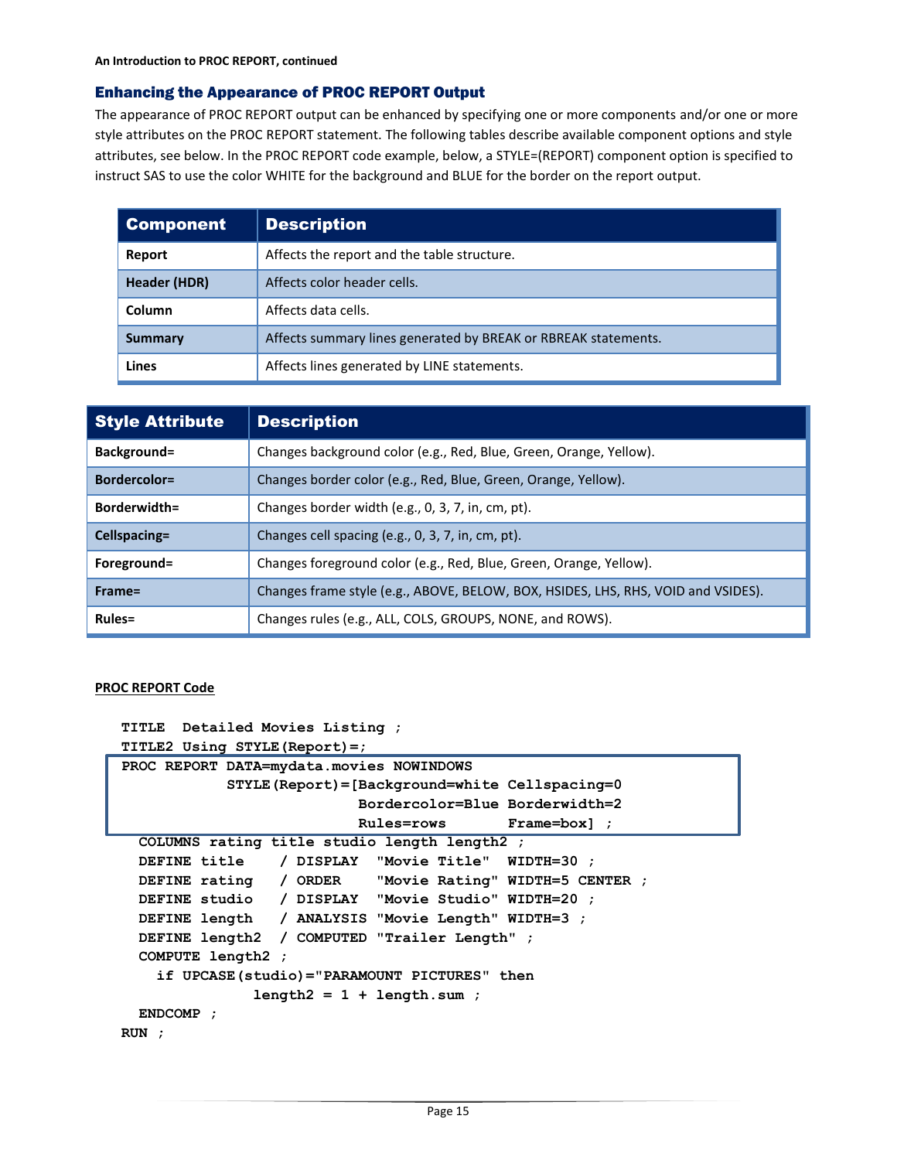# Enhancing the Appearance of PROC REPORT Output

The appearance of PROC REPORT output can be enhanced by specifying one or more components and/or one or more style attributes on the PROC REPORT statement. The following tables describe available component options and style attributes, see below. In the PROC REPORT code example, below, a STYLE=(REPORT) component option is specified to instruct SAS to use the color WHITE for the background and BLUE for the border on the report output.

| <b>Component</b> | <b>Description</b>                                             |
|------------------|----------------------------------------------------------------|
| Report           | Affects the report and the table structure.                    |
| Header (HDR)     | Affects color header cells.                                    |
| Column           | Affects data cells.                                            |
| <b>Summary</b>   | Affects summary lines generated by BREAK or RBREAK statements. |
| Lines            | Affects lines generated by LINE statements.                    |

| <b>Style Attribute</b> | <b>Description</b>                                                                |
|------------------------|-----------------------------------------------------------------------------------|
| Background=            | Changes background color (e.g., Red, Blue, Green, Orange, Yellow).                |
| <b>Bordercolor=</b>    | Changes border color (e.g., Red, Blue, Green, Orange, Yellow).                    |
| Borderwidth=           | Changes border width (e.g., 0, 3, 7, in, cm, pt).                                 |
| Cellspacing=           | Changes cell spacing (e.g., 0, 3, 7, in, cm, pt).                                 |
| Foreground=            | Changes foreground color (e.g., Red, Blue, Green, Orange, Yellow).                |
| $Frame =$              | Changes frame style (e.g., ABOVE, BELOW, BOX, HSIDES, LHS, RHS, VOID and VSIDES). |
| <b>Rules=</b>          | Changes rules (e.g., ALL, COLS, GROUPS, NONE, and ROWS).                          |

#### **PROC REPORT Code**

**TITLE Detailed Movies Listing ;**

```
TITLE2 Using STYLE(Report)=;
```

```
PROC REPORT DATA=mydata.movies NOWINDOWS
             STYLE(Report)=[Background=white Cellspacing=0
                           Bordercolor=Blue Borderwidth=2
                           Rules=rows Frame=box] ;
 COLUMNS rating title studio length length2 ;
```

```
DEFINE title / DISPLAY "Movie Title" WIDTH=30 ;
 DEFINE rating / ORDER "Movie Rating" WIDTH=5 CENTER ;
 DEFINE studio / DISPLAY "Movie Studio" WIDTH=20 ;
 DEFINE length / ANALYSIS "Movie Length" WIDTH=3 ;
 DEFINE length2 / COMPUTED "Trailer Length" ;
 COMPUTE length2 ;
    if UPCASE(studio)="PARAMOUNT PICTURES" then
               length2 = 1 + length.sum ;
 ENDCOMP ;
RUN ;
```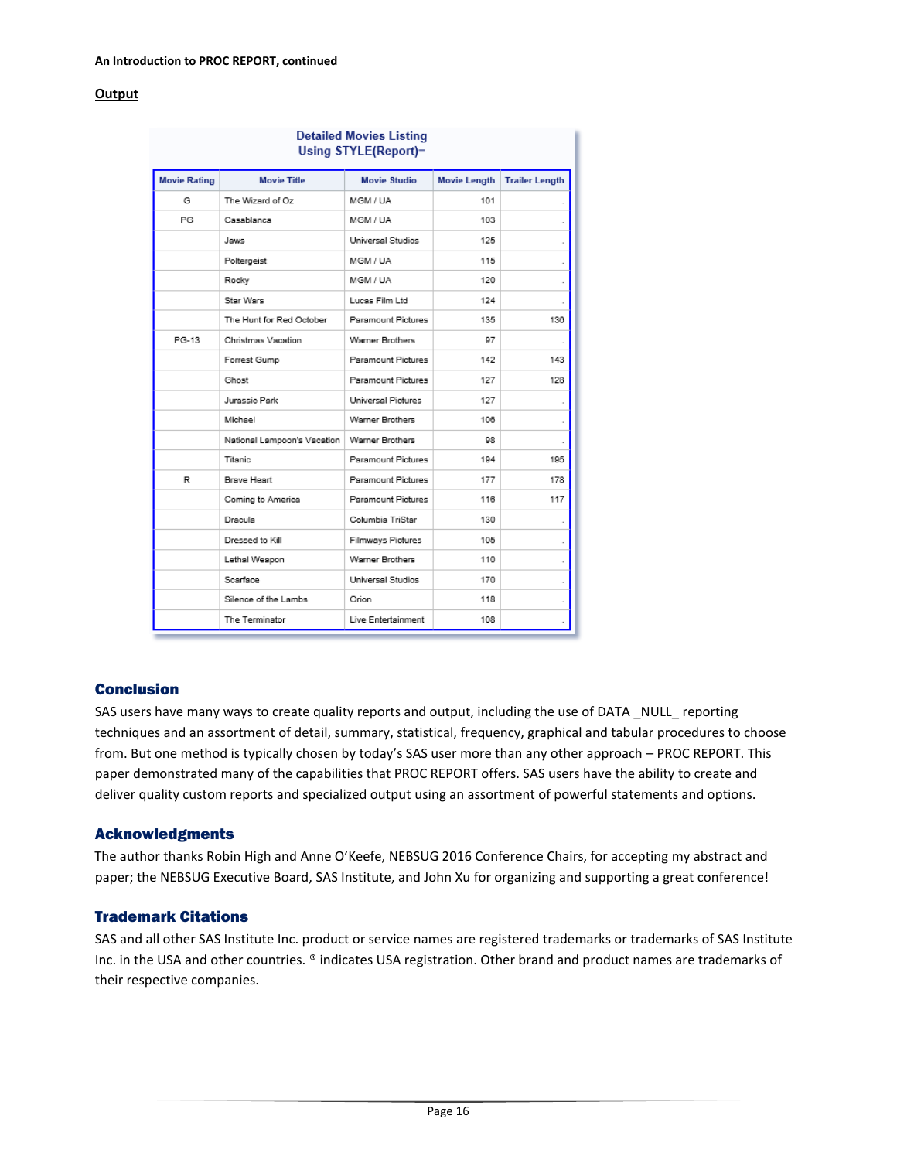#### **Output**

| <b>Detailed Movies Listing</b><br>Using STYLE(Report)= |                             |                     |                     |                       |  |
|--------------------------------------------------------|-----------------------------|---------------------|---------------------|-----------------------|--|
| <b>Movie Rating</b>                                    | <b>Movie Title</b>          | <b>Movie Studio</b> | <b>Movie Length</b> | <b>Trailer Length</b> |  |
| G                                                      | The Wizard of Oz            | MGM / UA            | 101                 |                       |  |
| PG                                                     | Casablanca                  | MGM / UA            | 103                 |                       |  |
|                                                        | Jaws                        | Universal Studios   | 125                 |                       |  |
|                                                        | Poltergeist                 | MGM / UA            | 115                 |                       |  |
|                                                        | Rocky                       | MGM / UA            | 120                 |                       |  |
|                                                        | Star Wars                   | Lucas Film Ltd      | 124                 |                       |  |
|                                                        | The Hunt for Red October    | Paramount Pictures  | 135                 | 136                   |  |
| PG-13                                                  | Christmas Vacation          | Warner Brothers     | 97                  |                       |  |
|                                                        | Forrest Gump                | Paramount Pictures  | 142                 | 143                   |  |
|                                                        | Ghost                       | Paramount Pictures  | 127                 | 128                   |  |
|                                                        | Jurassic Park               | Universal Pictures  | 127                 |                       |  |
|                                                        | Michael                     | Warner Brothers     | 106                 |                       |  |
|                                                        | National Lampoon's Vacation | Warner Brothers     | 98                  |                       |  |
|                                                        | Titanic                     | Paramount Pictures  | 194                 | 195                   |  |
| R                                                      | Brave Heart                 | Paramount Pictures  | 177                 | 178                   |  |
|                                                        | Coming to America           | Paramount Pictures  | 116                 | 117                   |  |
|                                                        | Dracula                     | Columbia TriStar    | 130                 |                       |  |
|                                                        | Dressed to Kill             | Filmways Pictures   | 105                 |                       |  |
|                                                        | Lethal Weapon               | Warner Brothers     | 110                 |                       |  |
|                                                        | Scarface                    | Universal Studios   | 170                 |                       |  |
|                                                        | Silence of the Lambs        | Orion               | 118                 |                       |  |
|                                                        | The Terminator              | Live Entertainment  | 108                 | ×,                    |  |

# Conclusion

SAS users have many ways to create quality reports and output, including the use of DATA \_NULL\_ reporting techniques and an assortment of detail, summary, statistical, frequency, graphical and tabular procedures to choose from. But one method is typically chosen by today's SAS user more than any other approach – PROC REPORT. This paper demonstrated many of the capabilities that PROC REPORT offers. SAS users have the ability to create and deliver quality custom reports and specialized output using an assortment of powerful statements and options.

# Acknowledgments

The author thanks Robin High and Anne O'Keefe, NEBSUG 2016 Conference Chairs, for accepting my abstract and paper; the NEBSUG Executive Board, SAS Institute, and John Xu for organizing and supporting a great conference!

# Trademark Citations

SAS and all other SAS Institute Inc. product or service names are registered trademarks or trademarks of SAS Institute Inc. in the USA and other countries. ® indicates USA registration. Other brand and product names are trademarks of their respective companies.